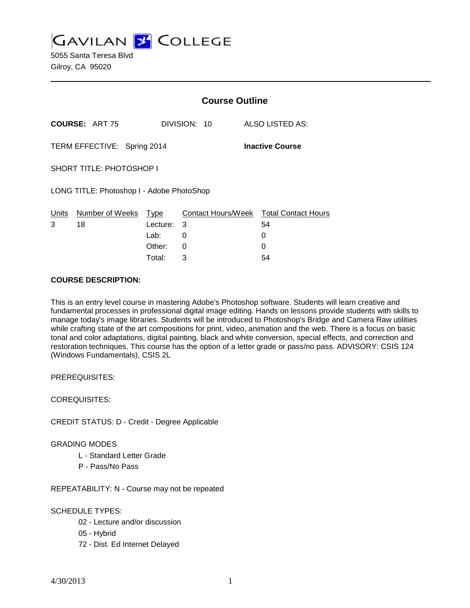**GAVILAN J' COLLEGE** 

5055 Santa Teresa Blvd Gilroy, CA 95020

|                                                       |                      | <b>Course Outline</b> |                 |                                        |
|-------------------------------------------------------|----------------------|-----------------------|-----------------|----------------------------------------|
| <b>COURSE: ART 75</b>                                 |                      | DIVISION: 10          | ALSO LISTED AS: |                                        |
| TERM EFFECTIVE: Spring 2014<br><b>Inactive Course</b> |                      |                       |                 |                                        |
| <b>SHORT TITLE: PHOTOSHOP I</b>                       |                      |                       |                 |                                        |
| LONG TITLE: Photoshop I - Adobe PhotoShop             |                      |                       |                 |                                        |
| Units                                                 | Number of Weeks Type |                       |                 | Contact Hours/Week Total Contact Hours |
| 3                                                     | 18                   | Lecture: 3            |                 | 54                                     |
|                                                       |                      | Lab: __               | 0               | 0                                      |
|                                                       |                      | Other:                | 0               | 0                                      |
|                                                       |                      | Total:                | 3               | 54                                     |

#### **COURSE DESCRIPTION:**

This is an entry level course in mastering Adobe's Photoshop software. Students will learn creative and fundamental processes in professional digital image editing. Hands on lessons provide students with skills to manage today's image libraries. Students will be introduced to Photoshop's Bridge and Camera Raw utilities while crafting state of the art compositions for print, video, animation and the web. There is a focus on basic tonal and color adaptations, digital painting, black and white conversion, special effects, and correction and restoration techniques. This course has the option of a letter grade or pass/no pass. ADVISORY: CSIS 124 (Windows Fundamentals), CSIS 2L

PREREQUISITES:

COREQUISITES:

CREDIT STATUS: D - Credit - Degree Applicable

GRADING MODES

- L Standard Letter Grade
- P Pass/No Pass

REPEATABILITY: N - Course may not be repeated

SCHEDULE TYPES:

- 02 Lecture and/or discussion
- 05 Hybrid
- 72 Dist. Ed Internet Delayed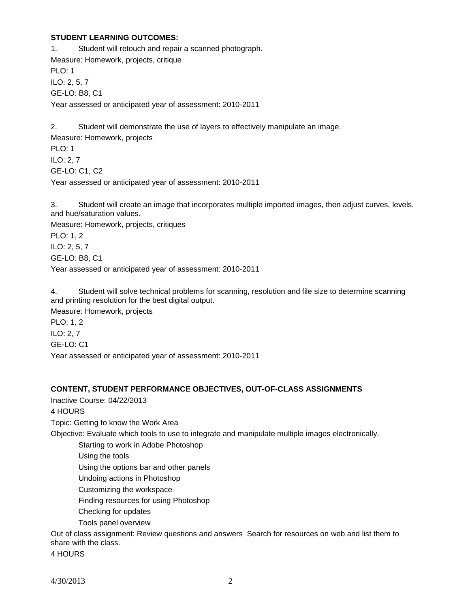### **STUDENT LEARNING OUTCOMES:**

1. Student will retouch and repair a scanned photograph. Measure: Homework, projects, critique PLO: 1 ILO: 2, 5, 7 GE-LO: B8, C1 Year assessed or anticipated year of assessment: 2010-2011

2. Student will demonstrate the use of layers to effectively manipulate an image. Measure: Homework, projects PLO: 1 ILO: 2, 7 GE-LO: C1, C2 Year assessed or anticipated year of assessment: 2010-2011

3. Student will create an image that incorporates multiple imported images, then adjust curves, levels, and hue/saturation values.

Measure: Homework, projects, critiques

PLO: 1, 2

ILO: 2, 5, 7

GE-LO: B8, C1

Year assessed or anticipated year of assessment: 2010-2011

4. Student will solve technical problems for scanning, resolution and file size to determine scanning and printing resolution for the best digital output.

Measure: Homework, projects

PLO: 1, 2 ILO: 2, 7 GE-LO: C1

Year assessed or anticipated year of assessment: 2010-2011

### **CONTENT, STUDENT PERFORMANCE OBJECTIVES, OUT-OF-CLASS ASSIGNMENTS**

Inactive Course: 04/22/2013

4 HOURS

Topic: Getting to know the Work Area

Objective: Evaluate which tools to use to integrate and manipulate multiple images electronically.

Starting to work in Adobe Photoshop

Using the tools

Using the options bar and other panels

Undoing actions in Photoshop

Customizing the workspace

Finding resources for using Photoshop

Checking for updates

Tools panel overview

Out of class assignment: Review questions and answers Search for resources on web and list them to share with the class.

4 HOURS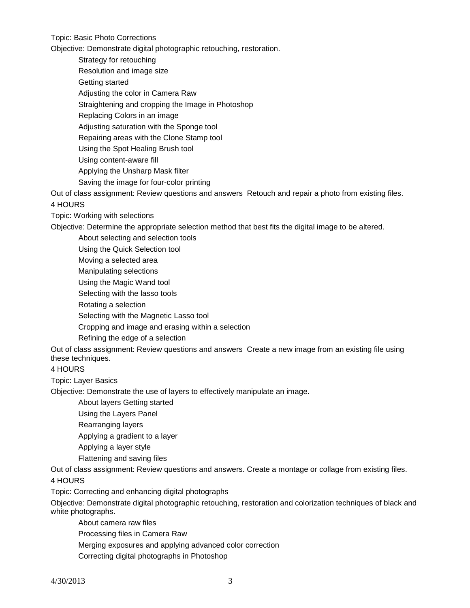Topic: Basic Photo Corrections

Objective: Demonstrate digital photographic retouching, restoration.

Strategy for retouching

Resolution and image size

Getting started

Adjusting the color in Camera Raw

Straightening and cropping the Image in Photoshop

Replacing Colors in an image

Adjusting saturation with the Sponge tool

Repairing areas with the Clone Stamp tool

Using the Spot Healing Brush tool

Using content-aware fill

Applying the Unsharp Mask filter

Saving the image for four-color printing

Out of class assignment: Review questions and answers Retouch and repair a photo from existing files. 4 HOURS

Topic: Working with selections

Objective: Determine the appropriate selection method that best fits the digital image to be altered.

About selecting and selection tools

Using the Quick Selection tool

Moving a selected area

Manipulating selections

Using the Magic Wand tool

Selecting with the lasso tools

Rotating a selection

Selecting with the Magnetic Lasso tool

Cropping and image and erasing within a selection

Refining the edge of a selection

Out of class assignment: Review questions and answers Create a new image from an existing file using these techniques.

4 HOURS

Topic: Layer Basics

Objective: Demonstrate the use of layers to effectively manipulate an image.

About layers Getting started

Using the Layers Panel

Rearranging layers

Applying a gradient to a layer

Applying a layer style

Flattening and saving files

Out of class assignment: Review questions and answers. Create a montage or collage from existing files. 4 HOURS

Topic: Correcting and enhancing digital photographs

Objective: Demonstrate digital photographic retouching, restoration and colorization techniques of black and white photographs.

About camera raw files

Processing files in Camera Raw

Merging exposures and applying advanced color correction

Correcting digital photographs in Photoshop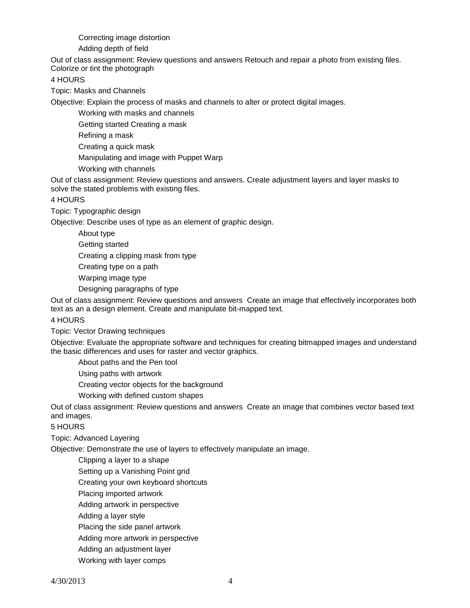Correcting image distortion

Adding depth of field

Out of class assignment: Review questions and answers Retouch and repair a photo from existing files. Colorize or tint the photograph

4 HOURS

Topic: Masks and Channels

Objective: Explain the process of masks and channels to alter or protect digital images.

Working with masks and channels

Getting started Creating a mask

Refining a mask

Creating a quick mask

Manipulating and image with Puppet Warp

Working with channels

Out of class assignment: Review questions and answers. Create adjustment layers and layer masks to solve the stated problems with existing files.

4 HOURS

Topic: Typographic design

Objective: Describe uses of type as an element of graphic design.

About type

Getting started

Creating a clipping mask from type

Creating type on a path

Warping image type

Designing paragraphs of type

Out of class assignment: Review questions and answers Create an image that effectively incorporates both text as an a design element. Create and manipulate bit-mapped text.

#### 4 HOURS

Topic: Vector Drawing techniques

Objective: Evaluate the appropriate software and techniques for creating bitmapped images and understand the basic differences and uses for raster and vector graphics.

About paths and the Pen tool

Using paths with artwork

Creating vector objects for the background

Working with defined custom shapes

Out of class assignment: Review questions and answers Create an image that combines vector based text and images.

5 HOURS

Topic: Advanced Layering

Objective: Demonstrate the use of layers to effectively manipulate an image.

Clipping a layer to a shape

Setting up a Vanishing Point grid

Creating your own keyboard shortcuts

Placing imported artwork

Adding artwork in perspective

Adding a layer style

Placing the side panel artwork

Adding more artwork in perspective

Adding an adjustment layer

Working with layer comps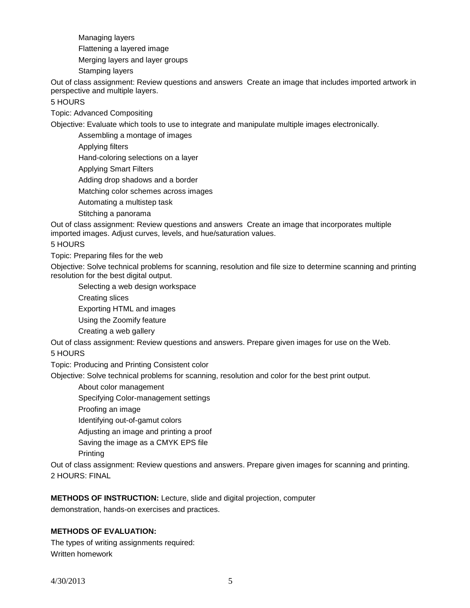Managing layers

Flattening a layered image

Merging layers and layer groups

Stamping layers

Out of class assignment: Review questions and answers Create an image that includes imported artwork in perspective and multiple layers.

# 5 HOURS

Topic: Advanced Compositing

Objective: Evaluate which tools to use to integrate and manipulate multiple images electronically.

Assembling a montage of images

Applying filters

Hand-coloring selections on a layer

Applying Smart Filters

Adding drop shadows and a border

Matching color schemes across images

Automating a multistep task

Stitching a panorama

Out of class assignment: Review questions and answers Create an image that incorporates multiple imported images. Adjust curves, levels, and hue/saturation values.

### 5 HOURS

Topic: Preparing files for the web

Objective: Solve technical problems for scanning, resolution and file size to determine scanning and printing resolution for the best digital output.

Selecting a web design workspace

Creating slices

Exporting HTML and images

Using the Zoomify feature

Creating a web gallery

Out of class assignment: Review questions and answers. Prepare given images for use on the Web.

### 5 HOURS

Topic: Producing and Printing Consistent color

Objective: Solve technical problems for scanning, resolution and color for the best print output.

About color management

Specifying Color-management settings

Proofing an image

Identifying out-of-gamut colors

Adjusting an image and printing a proof

Saving the image as a CMYK EPS file

Printing

Out of class assignment: Review questions and answers. Prepare given images for scanning and printing. 2 HOURS: FINAL

**METHODS OF INSTRUCTION:** Lecture, slide and digital projection, computer demonstration, hands-on exercises and practices.

## **METHODS OF EVALUATION:**

The types of writing assignments required: Written homework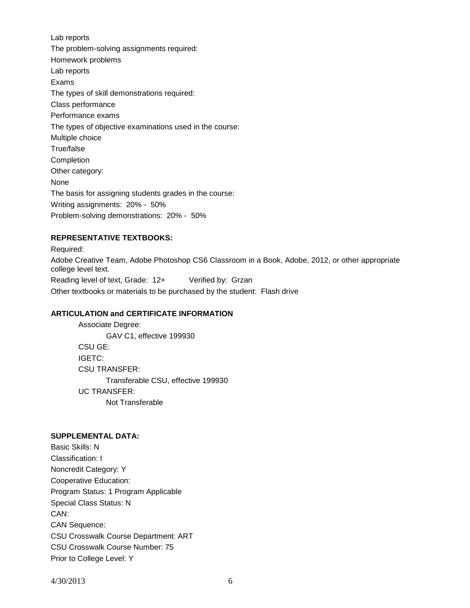Lab reports The problem-solving assignments required: Homework problems Lab reports Exams The types of skill demonstrations required: Class performance Performance exams The types of objective examinations used in the course: Multiple choice True/false **Completion** Other category: None The basis for assigning students grades in the course: Writing assignments: 20% - 50% Problem-solving demonstrations: 20% - 50%

# **REPRESENTATIVE TEXTBOOKS:**

Required: Adobe Creative Team, Adobe Photoshop CS6 Classroom in a Book, Adobe, 2012, or other appropriate college level text. Reading level of text, Grade: 12+ Verified by: Grzan Other textbooks or materials to be purchased by the student: Flash drive

### **ARTICULATION and CERTIFICATE INFORMATION**

Associate Degree: GAV C1, effective 199930 CSU GE: IGETC: CSU TRANSFER: Transferable CSU, effective 199930 UC TRANSFER: Not Transferable

#### **SUPPLEMENTAL DATA:**

Basic Skills: N Classification: I Noncredit Category: Y Cooperative Education: Program Status: 1 Program Applicable Special Class Status: N CAN: CAN Sequence: CSU Crosswalk Course Department: ART CSU Crosswalk Course Number: 75 Prior to College Level: Y

4/30/2013 6